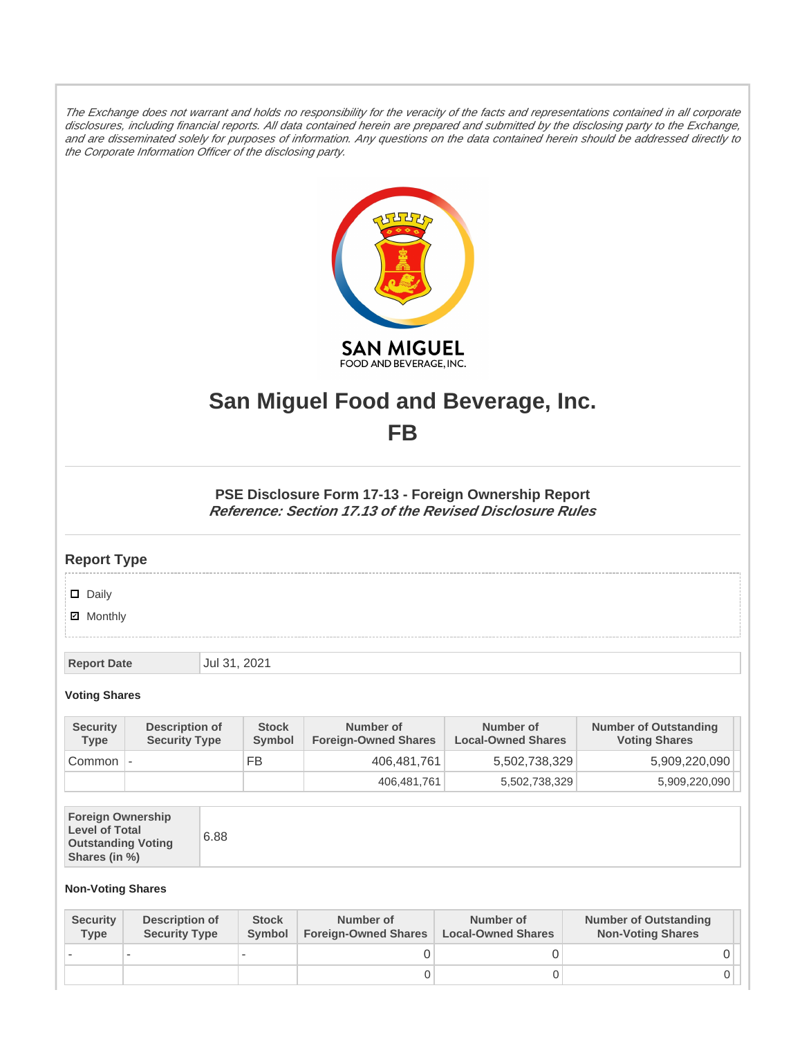The Exchange does not warrant and holds no responsibility for the veracity of the facts and representations contained in all corporate disclosures, including financial reports. All data contained herein are prepared and submitted by the disclosing party to the Exchange, and are disseminated solely for purposes of information. Any questions on the data contained herein should be addressed directly to the Corporate Information Officer of the disclosing party.



# **San Miguel Food and Beverage, Inc. FB**

**PSE Disclosure Form 17-13 - Foreign Ownership Report Reference: Section 17.13 of the Revised Disclosure Rules**

## **Report Type**

### Daily

**Ø** Monthly

**Report Date** Jul 31, 2021

### **Voting Shares**

| <b>Security</b><br><b>Type</b> | Description of<br><b>Security Type</b> | <b>Stock</b><br><b>Symbol</b> | Number of<br><b>Foreign-Owned Shares</b> | Number of<br><b>Local-Owned Shares</b> | <b>Number of Outstanding</b><br><b>Voting Shares</b> |
|--------------------------------|----------------------------------------|-------------------------------|------------------------------------------|----------------------------------------|------------------------------------------------------|
| Common -                       |                                        | FB                            | 406.481.761                              | 5,502,738,329                          | 5,909,220,090                                        |
|                                |                                        |                               | 406,481,761                              | 5,502,738,329                          | 5,909,220,090                                        |

| <b>Foreign Ownership</b><br><b>Level of Total</b><br><b>Outstanding Voting</b><br>Shares (in %) | 6.88 |
|-------------------------------------------------------------------------------------------------|------|
|-------------------------------------------------------------------------------------------------|------|

#### **Non-Voting Shares**

| <b>Security</b><br>Type | Description of<br><b>Security Type</b> | <b>Stock</b><br><b>Symbol</b> | Number of<br><b>Foreign-Owned Shares</b> | Number of<br><b>Local-Owned Shares</b> | <b>Number of Outstanding</b><br><b>Non-Voting Shares</b> |
|-------------------------|----------------------------------------|-------------------------------|------------------------------------------|----------------------------------------|----------------------------------------------------------|
|                         |                                        |                               |                                          |                                        |                                                          |
|                         |                                        |                               |                                          |                                        |                                                          |